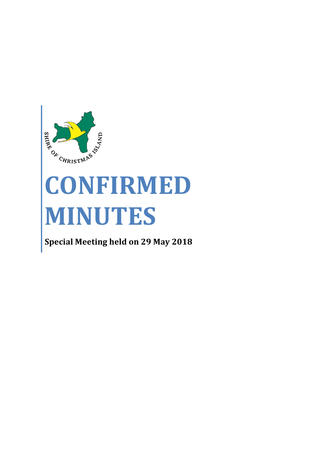

# **CONFIRMED MINUTES**

**Special Meeting held on 29 May 2018**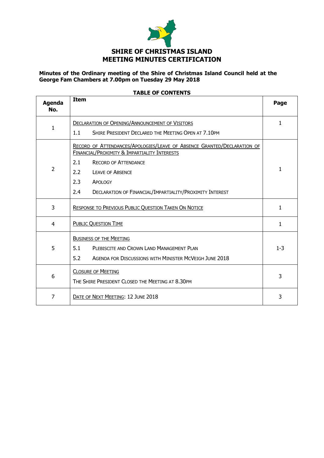

### **Minutes of the Ordinary meeting of the Shire of Christmas Island Council held at the George Fam Chambers at 7.00pm on Tuesday 29 May 2018**

| <b>Agenda</b><br>No. | <b>Item</b>                                                                                                                                                                                                                                                                          | Page         |
|----------------------|--------------------------------------------------------------------------------------------------------------------------------------------------------------------------------------------------------------------------------------------------------------------------------------|--------------|
| $\mathbf{1}$         | <b>DECLARATION OF OPENING/ANNOUNCEMENT OF VISITORS</b><br>1.1<br>SHIRE PRESIDENT DECLARED THE MEETING OPEN AT 7.10PM                                                                                                                                                                 | $\mathbf{1}$ |
| $\overline{2}$       | RECORD OF ATTENDANCES/APOLOGIES/LEAVE OF ABSENCE GRANTED/DECLARATION OF<br>FINANCIAL/PROXIMITY & IMPARTIALITY INTERESTS<br>2.1<br><b>RECORD OF ATTENDANCE</b><br>2.2<br><b>LEAVE OF ABSENCE</b><br>2.3<br>APOLOGY<br>2.4<br>DECLARATION OF FINANCIAL/IMPARTIALITY/PROXIMITY INTEREST | 1            |
| 3                    | <b>RESPONSE TO PREVIOUS PUBLIC QUESTION TAKEN ON NOTICE</b>                                                                                                                                                                                                                          | $\mathbf{1}$ |
| 4                    | <b>PUBLIC QUESTION TIME</b>                                                                                                                                                                                                                                                          | $\mathbf{1}$ |
| 5                    | <b>BUSINESS OF THE MEETING</b><br>5.1<br>PLEBISCITE AND CROWN LAND MANAGEMENT PLAN<br>5.2<br><b>AGENDA FOR DISCUSSIONS WITH MINISTER MCVEIGH JUNE 2018</b>                                                                                                                           | $1 - 3$      |
| 6                    | <b>CLOSURE OF MEETING</b><br>THE SHIRE PRESIDENT CLOSED THE MEETING AT 8.30PM                                                                                                                                                                                                        | 3            |
| $\overline{7}$       | DATE OF NEXT MEETING: 12 JUNE 2018                                                                                                                                                                                                                                                   | 3            |

# **TABLE OF CONTENTS**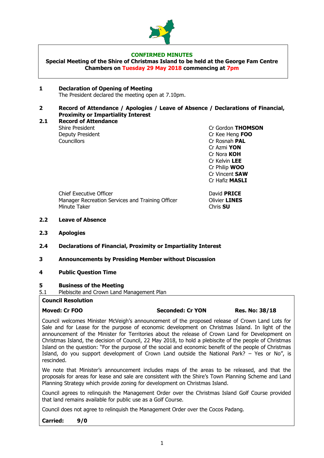

#### **CONFIRMED MINUTES**

**Special Meeting of the Shire of Christmas Island to be held at the George Fam Centre Chambers on Tuesday 29 May 2018 commencing at 7pm**

#### **1 Declaration of Opening of Meeting**  The President declared the meeting open at 7.10pm.

#### **2 Record of Attendance / Apologies / Leave of Absence / Declarations of Financial, Proximity or Impartiality Interest**

**2.1 Record of Attendance** Shire President **Criminal Criminal Criminal Criminal Criminal Criminal Criminal Criminal Criminal Criminal Criminal Operation** Deputy President **Cr Kee Heng <b>FOO** Councillors Cr Rosnah **PAL**

Cr Azmi **YON** Cr Nora **KOH** Cr Kelvin **LEE** Cr Philip **WOO** Cr Vincent **SAW** Cr Hafiz **MASLI**

Chief Executive Officer **David PRICE** Manager Recreation Services and Training Officer **Canadian Clivier LINES** Minute Taker Chris **SU**

#### **2.2 Leave of Absence**

**2.3 Apologies**

#### **2.4 Declarations of Financial, Proximity or Impartiality Interest**

- **3 Announcements by Presiding Member without Discussion**
- **4 Public Question Time**

#### **5 Business of the Meeting**

5.1 Plebiscite and Crown Land Management Plan

#### **Council Resolution**

#### **Moved: Cr FOO Seconded: Cr YON Res. No: 38/18**

Council welcomes Minister McVeigh's announcement of the proposed release of Crown Land Lots for Sale and for Lease for the purpose of economic development on Christmas Island. In light of the announcement of the Minister for Territories about the release of Crown Land for Development on Christmas Island, the decision of Council, 22 May 2018, to hold a plebiscite of the people of Christmas Island on the question: "For the purpose of the social and economic benefit of the people of Christmas Island, do you support development of Crown Land outside the National Park? – Yes or No", is rescinded.

We note that Minister's announcement includes maps of the areas to be released, and that the proposals for areas for lease and sale are consistent with the Shire's Town Planning Scheme and Land Planning Strategy which provide zoning for development on Christmas Island.

Council agrees to relinquish the Management Order over the Christmas Island Golf Course provided that land remains available for public use as a Golf Course.

Council does not agree to relinquish the Management Order over the Cocos Padang.

**Carried: 9/0**